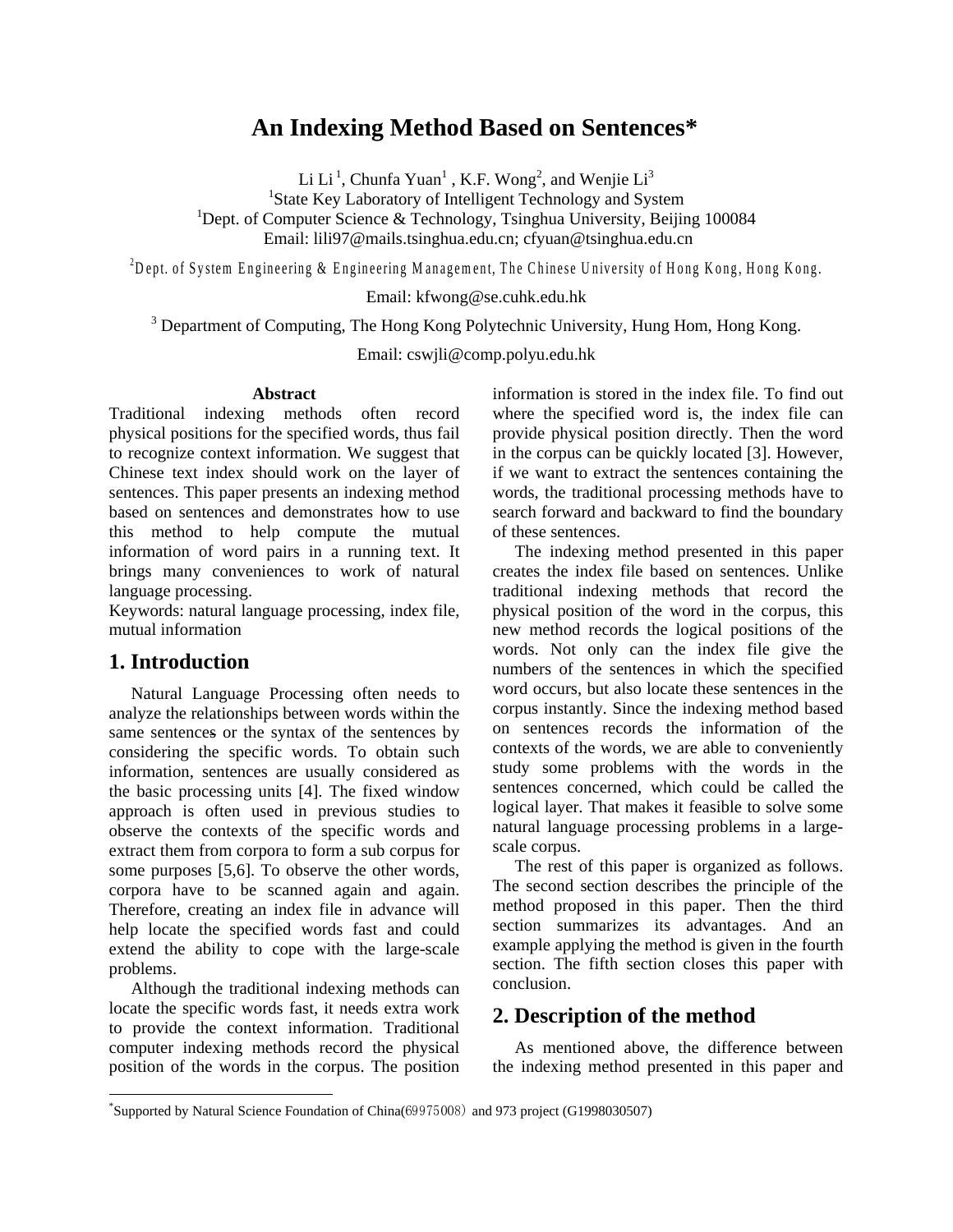# **An Indexing Method Based on Sentences\***

Li Li<sup>1</sup>, Chunfa Yuan<sup>1</sup>, K.F. Wong<sup>2</sup>, and Wenjie Li<sup>3</sup>

<sup>1</sup>State Key Laboratory of Intelligent Technology and System <sup>1</sup>Dept. of Computer Science & Technology, Tsinghua University, Beijing 100084 Email: lili97@mails.tsinghua.edu.cn; cfyuan@tsinghua.edu.cn

<sup>2</sup>Dept. of System Engineering & Engineering Management, The Chinese University of Hong Kong, Hong Kong.

Email: kfwong@se.cuhk.edu.hk

<sup>3</sup> Department of Computing, The Hong Kong Polytechnic University, Hung Hom, Hong Kong.

Email: cswjli@comp.polyu.edu.hk

#### **Abstract**

Traditional indexing methods often record physical positions for the specified words, thus fail to recognize context information. We suggest that Chinese text index should work on the layer of sentences. This paper presents an indexing method based on sentences and demonstrates how to use this method to help compute the mutual information of word pairs in a running text. It brings many conveniences to work of natural language processing.

Keywords: natural language processing, index file, mutual information

# **1. Introduction**

-

Natural Language Processing often needs to analyze the relationships between words within the same sentences or the syntax of the sentences by considering the specific words. To obtain such information, sentences are usually considered as the basic processing units [4]. The fixed window approach is often used in previous studies to observe the contexts of the specific words and extract them from corpora to form a sub corpus for some purposes [5,6]. To observe the other words, corpora have to be scanned again and again. Therefore, creating an index file in advance will help locate the specified words fast and could extend the ability to cope with the large-scale problems.

Although the traditional indexing methods can locate the specific words fast, it needs extra work to provide the context information. Traditional computer indexing methods record the physical position of the words in the corpus. The position information is stored in the index file. To find out where the specified word is, the index file can provide physical position directly. Then the word in the corpus can be quickly located [3]. However, if we want to extract the sentences containing the words, the traditional processing methods have to search forward and backward to find the boundary of these sentences.

The indexing method presented in this paper creates the index file based on sentences. Unlike traditional indexing methods that record the physical position of the word in the corpus, this new method records the logical positions of the words. Not only can the index file give the numbers of the sentences in which the specified word occurs, but also locate these sentences in the corpus instantly. Since the indexing method based on sentences records the information of the contexts of the words, we are able to conveniently study some problems with the words in the sentences concerned, which could be called the logical layer. That makes it feasible to solve some natural language processing problems in a largescale corpus.

The rest of this paper is organized as follows. The second section describes the principle of the method proposed in this paper. Then the third section summarizes its advantages. And an example applying the method is given in the fourth section. The fifth section closes this paper with conclusion.

# **2. Description of the method**

As mentioned above, the difference between the indexing method presented in this paper and

<sup>\*</sup>Supported by Natural Science Foundation of China(69975008) and 973 project (G1998030507)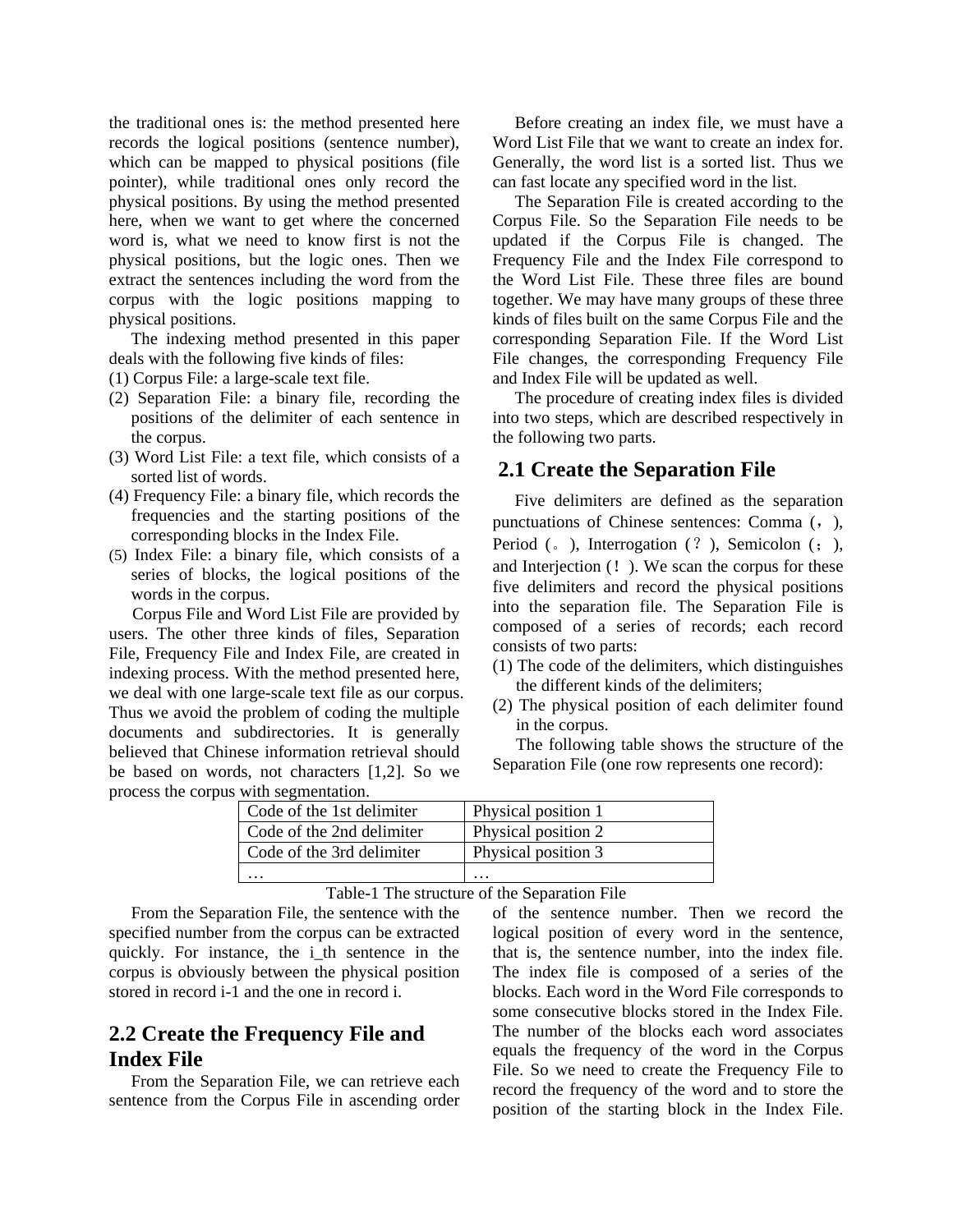the traditional ones is: the method presented here records the logical positions (sentence number), which can be mapped to physical positions (file pointer), while traditional ones only record the physical positions. By using the method presented here, when we want to get where the concerned word is, what we need to know first is not the physical positions, but the logic ones. Then we extract the sentences including the word from the corpus with the logic positions mapping to physical positions.

The indexing method presented in this paper deals with the following five kinds of files:

- (1) Corpus File: a large-scale text file.
- (2) Separation File: a binary file, recording the positions of the delimiter of each sentence in the corpus.
- (3) Word List File: a text file, which consists of a sorted list of words.
- (4) Frequency File: a binary file, which records the frequencies and the starting positions of the corresponding blocks in the Index File.
- (5) Index File: a binary file, which consists of a series of blocks, the logical positions of the words in the corpus.

Corpus File and Word List File are provided by users. The other three kinds of files, Separation File, Frequency File and Index File, are created in indexing process. With the method presented here, we deal with one large-scale text file as our corpus. Thus we avoid the problem of coding the multiple documents and subdirectories. It is generally believed that Chinese information retrieval should be based on words, not characters [1,2]. So we process the corpus with segmentation.

Before creating an index file, we must have a Word List File that we want to create an index for. Generally, the word list is a sorted list. Thus we can fast locate any specified word in the list.

The Separation File is created according to the Corpus File. So the Separation File needs to be updated if the Corpus File is changed. The Frequency File and the Index File correspond to the Word List File. These three files are bound together. We may have many groups of these three kinds of files built on the same Corpus File and the corresponding Separation File. If the Word List File changes, the corresponding Frequency File and Index File will be updated as well.

The procedure of creating index files is divided into two steps, which are described respectively in the following two parts.

# **2.1 Create the Separation File**

Five delimiters are defined as the separation punctuations of Chinese sentences: Comma (, ), Period ( $\circ$ ), Interrogation (?), Semicolon (;), and Interjection  $(!)$ . We scan the corpus for these five delimiters and record the physical positions into the separation file. The Separation File is composed of a series of records; each record consists of two parts:

- (1) The code of the delimiters, which distinguishes the different kinds of the delimiters;
- (2) The physical position of each delimiter found in the corpus.

The following table shows the structure of the Separation File (one row represents one record):

| $\ldots$                  |                     |  |
|---------------------------|---------------------|--|
| Code of the 1st delimiter | Physical position 1 |  |
| Code of the 2nd delimiter | Physical position 2 |  |
| Code of the 3rd delimiter | Physical position 3 |  |
|                           | $\cdots$            |  |

#### Table-1 The structure of the Separation File

From the Separation File, the sentence with the specified number from the corpus can be extracted quickly. For instance, the i\_th sentence in the corpus is obviously between the physical position stored in record i-1 and the one in record i.

# **2.2 Create the Frequency File and Index File**

From the Separation File, we can retrieve each sentence from the Corpus File in ascending order of the sentence number. Then we record the logical position of every word in the sentence, that is, the sentence number, into the index file. The index file is composed of a series of the blocks. Each word in the Word File corresponds to some consecutive blocks stored in the Index File. The number of the blocks each word associates equals the frequency of the word in the Corpus File. So we need to create the Frequency File to record the frequency of the word and to store the position of the starting block in the Index File.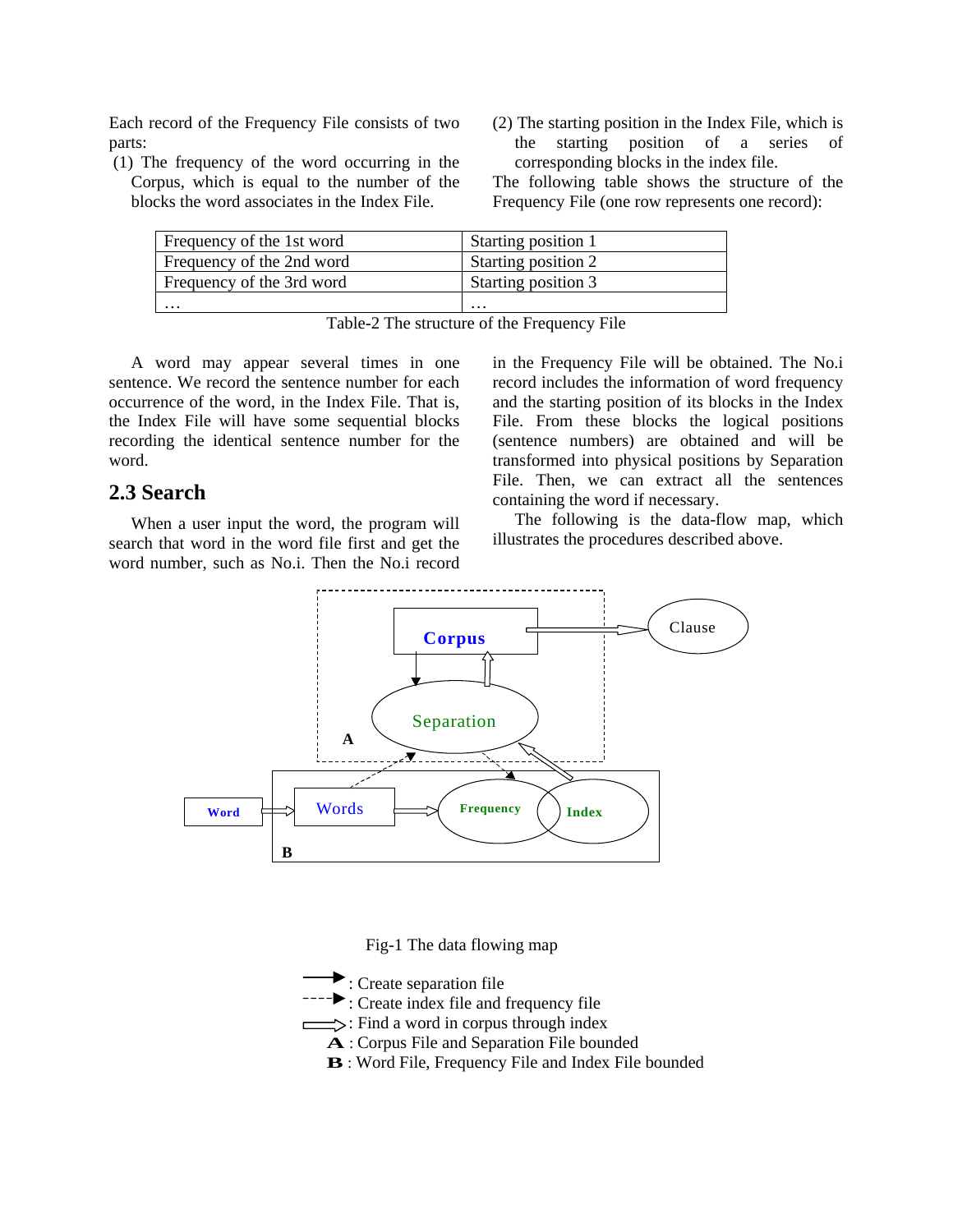Each record of the Frequency File consists of two parts:

- (1) The frequency of the word occurring in the Corpus, which is equal to the number of the blocks the word associates in the Index File.
- (2) The starting position in the Index File, which is the starting position of a series of corresponding blocks in the index file.

The following table shows the structure of the Frequency File (one row represents one record):

| Frequency of the 1st word | Starting position 1 |
|---------------------------|---------------------|
| Frequency of the 2nd word | Starting position 2 |
| Frequency of the 3rd word | Starting position 3 |
| $\cdots$                  | $\cdots$            |

Table-2 The structure of the Frequency File

A word may appear several times in one sentence. We record the sentence number for each occurrence of the word, in the Index File. That is, the Index File will have some sequential blocks recording the identical sentence number for the word.

#### **2.3 Search**

When a user input the word, the program will search that word in the word file first and get the word number, such as No.i. Then the No.i record in the Frequency File will be obtained. The No.i record includes the information of word frequency and the starting position of its blocks in the Index File. From these blocks the logical positions (sentence numbers) are obtained and will be transformed into physical positions by Separation File. Then, we can extract all the sentences containing the word if necessary.

The following is the data-flow map, which illustrates the procedures described above.



Fig-1 The data flowing map



**B** : Word File, Frequency File and Index File bounded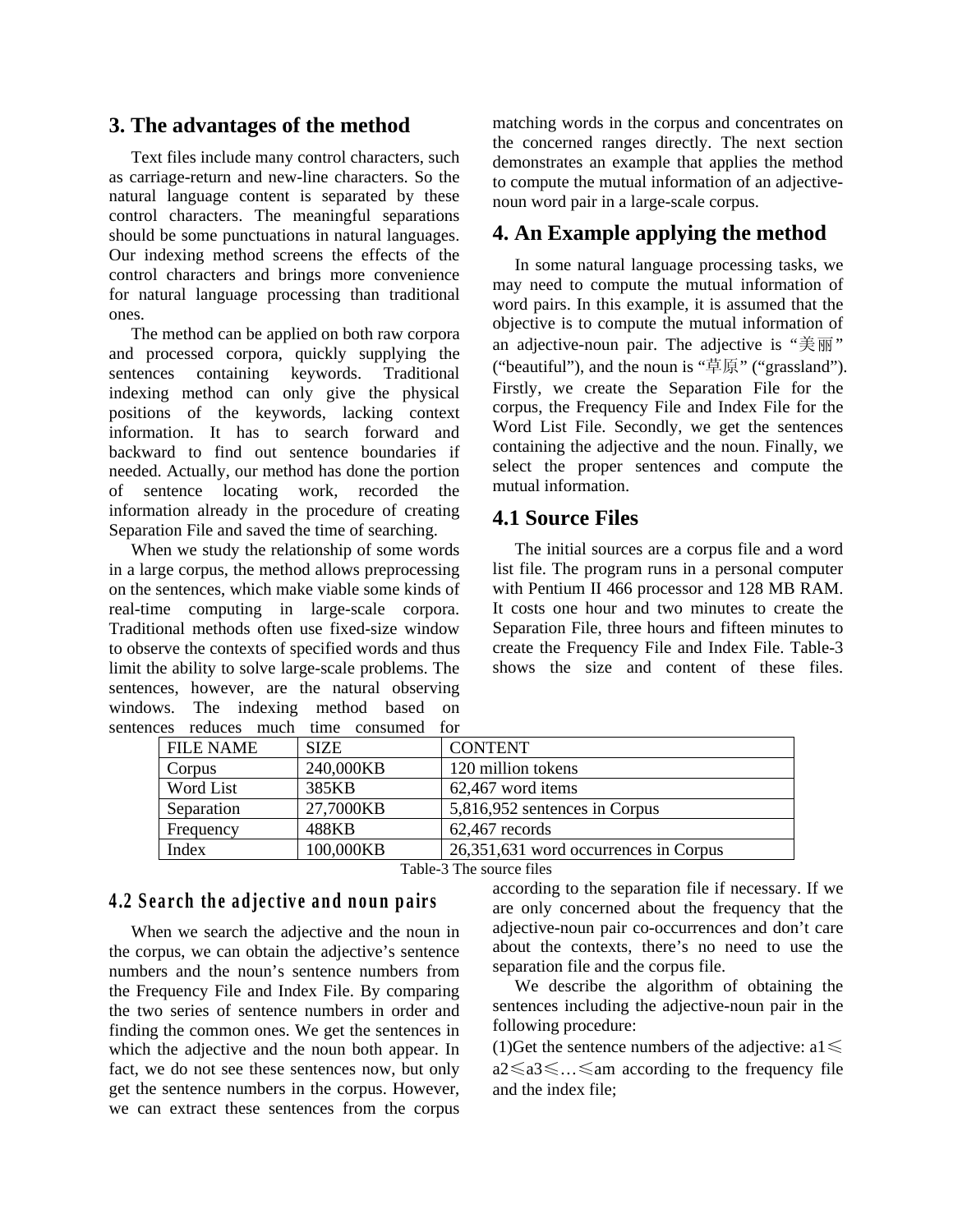### **3. The advantages of the method**

Text files include many control characters, such as carriage-return and new-line characters. So the natural language content is separated by these control characters. The meaningful separations should be some punctuations in natural languages. Our indexing method screens the effects of the control characters and brings more convenience for natural language processing than traditional ones.

The method can be applied on both raw corpora and processed corpora, quickly supplying the sentences containing keywords. Traditional indexing method can only give the physical positions of the keywords, lacking context information. It has to search forward and backward to find out sentence boundaries if needed. Actually, our method has done the portion of sentence locating work, recorded the information already in the procedure of creating Separation File and saved the time of searching.

When we study the relationship of some words in a large corpus, the method allows preprocessing on the sentences, which make viable some kinds of real-time computing in large-scale corpora. Traditional methods often use fixed-size window to observe the contexts of specified words and thus limit the ability to solve large-scale problems. The sentences, however, are the natural observing windows. The indexing method based on sentences reduces much time consumed for

matching words in the corpus and concentrates on the concerned ranges directly. The next section demonstrates an example that applies the method to compute the mutual information of an adjectivenoun word pair in a large-scale corpus.

# **4. An Example applying the method**

In some natural language processing tasks, we may need to compute the mutual information of word pairs. In this example, it is assumed that the objective is to compute the mutual information of an adjective-noun pair. The adjective is " $\ddot{\equiv} \overline{\mathbb{M}}$ " ("beautiful"), and the noun is " $\# \overline{R}$ " ("grassland"). Firstly, we create the Separation File for the corpus, the Frequency File and Index File for the Word List File. Secondly, we get the sentences containing the adjective and the noun. Finally, we select the proper sentences and compute the mutual information.

#### **4.1 Source Files**

The initial sources are a corpus file and a word list file. The program runs in a personal computer with Pentium II 466 processor and 128 MB RAM. It costs one hour and two minutes to create the Separation File, three hours and fifteen minutes to create the Frequency File and Index File. Table-3 shows the size and content of these files.

| . د.ب<br>Tequees much unie consumed for |             |                                       |
|-----------------------------------------|-------------|---------------------------------------|
| <b>FILE NAME</b>                        | <b>SIZE</b> | <b>CONTENT</b>                        |
| Corpus                                  | 240,000KB   | 120 million tokens                    |
| Word List                               | 385KB       | 62,467 word items                     |
| Separation                              | 27,7000KB   | 5,816,952 sentences in Corpus         |
| Frequency                               | 488KB       | $62,467$ records                      |
| Index                                   | 100,000KB   | 26,351,631 word occurrences in Corpus |

Table-3 The source files

### **4.2 Search the adjective and noun pairs**

When we search the adjective and the noun in the corpus, we can obtain the adjective's sentence numbers and the noun's sentence numbers from the Frequency File and Index File. By comparing the two series of sentence numbers in order and finding the common ones. We get the sentences in which the adjective and the noun both appear. In fact, we do not see these sentences now, but only get the sentence numbers in the corpus. However, we can extract these sentences from the corpus

according to the separation file if necessary. If we are only concerned about the frequency that the adjective-noun pair co-occurrences and don't care about the contexts, there's no need to use the separation file and the corpus file.

We describe the algorithm of obtaining the sentences including the adjective-noun pair in the following procedure:

(1)Get the sentence numbers of the adjective: a $1 \leq$  $a2 \le a3 \le ... \le am according to the frequency file$ and the index file;